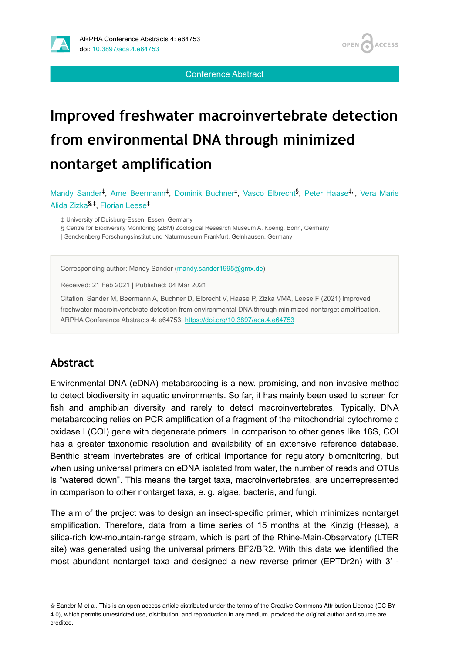

**OPEN ACCESS** 

Conference Abstract

# **Improved freshwater macroinvertebrate detection from environmental DNA through minimized nontarget amplification**

Mandy Sander<sup>‡</sup>, Arne Beermann<sup>‡</sup>, Dominik Buchner<sup>‡</sup>, Vasco Elbrecht<sup>§</sup>, Peter Haase<sup>‡, I</sup>, Vera Marie Alida Zizka<sup>§,‡</sup>, Florian Leese<sup>‡</sup>

‡ University of Duisburg-Essen, Essen, Germany

§ Centre for Biodiversity Monitoring (ZBM) Zoological Research Museum A. Koenig, Bonn, Germany

| Senckenberg Forschungsinstitut und Naturmuseum Frankfurt, Gelnhausen, Germany

Corresponding author: Mandy Sander [\(mandy.sander1995@gmx.de\)](mailto:mandy.sander1995@gmx.de)

Received: 21 Feb 2021 | Published: 04 Mar 2021

Citation: Sander M, Beermann A, Buchner D, Elbrecht V, Haase P, Zizka VMA, Leese F (2021) Improved freshwater macroinvertebrate detection from environmental DNA through minimized nontarget amplification. ARPHA Conference Abstracts 4: e64753. <https://doi.org/10.3897/aca.4.e64753>

#### **Abstract**

Environmental DNA (eDNA) metabarcoding is a new, promising, and non-invasive method to detect biodiversity in aquatic environments. So far, it has mainly been used to screen for fish and amphibian diversity and rarely to detect macroinvertebrates. Typically, DNA metabarcoding relies on PCR amplification of a fragment of the mitochondrial cytochrome c oxidase I (COI) gene with degenerate primers. In comparison to other genes like 16S, COI has a greater taxonomic resolution and availability of an extensive reference database. Benthic stream invertebrates are of critical importance for regulatory biomonitoring, but when using universal primers on eDNA isolated from water, the number of reads and OTUs is "watered down". This means the target taxa, macroinvertebrates, are underrepresented in comparison to other nontarget taxa, e. g. algae, bacteria, and fungi.

The aim of the project was to design an insect-specific primer, which minimizes nontarget amplification. Therefore, data from a time series of 15 months at the Kinzig (Hesse), a silica-rich low-mountain-range stream, which is part of the Rhine-Main-Observatory (LTER site) was generated using the universal primers BF2/BR2. With this data we identified the most abundant nontarget taxa and designed a new reverse primer (EPTDr2n) with 3' ‐

<sup>©</sup> Sander M et al. This is an open access article distributed under the terms of the Creative Commons Attribution License (CC BY 4.0), which permits unrestricted use, distribution, and reproduction in any medium, provided the original author and source are credited.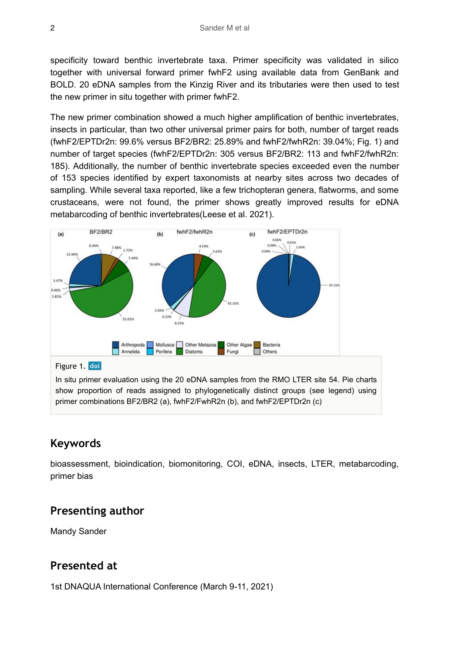specificity toward benthic invertebrate taxa. Primer specificity was validated in silico together with universal forward primer fwhF2 using available data from GenBank and BOLD. 20 eDNA samples from the Kinzig River and its tributaries were then used to test the new primer in situ together with primer fwhF2.

The new primer combination showed a much higher amplification of benthic invertebrates, insects in particular, than two other universal primer pairs for both, number of target reads (fwhF2/EPTDr2n: 99.6% versus BF2/BR2: 25.89% and fwhF2/fwhR2n: 39.04%; Fig. 1) and number of target species (fwhF2/EPTDr2n: 305 versus BF2/BR2: 113 and fwhF2/fwhR2n: 185). Additionally, the number of benthic invertebrate species exceeded even the number of 153 species identified by expert taxonomists at nearby sites across two decades of sampling. While several taxa reported, like a few trichopteran genera, flatworms, and some crustaceans, were not found, the primer shows greatly improved results for eDNA metabarcoding of benthic invertebrates(Leese et al. 2021).



In situ primer evaluation using the 20 eDNA samples from the RMO LTER site 54. Pie charts show proportion of reads assigned to phylogenetically distinct groups (see legend) using primer combinations BF2/BR2 (a), fwhF2/FwhR2n (b), and fwhF2/EPTDr2n (c)

### **Keywords**

bioassessment, bioindication, biomonitoring, COI, eDNA, insects, LTER, metabarcoding, primer bias

### **Presenting author**

Mandy Sander

### **Presented at**

1st DNAQUA International Conference (March 9-11, 2021)